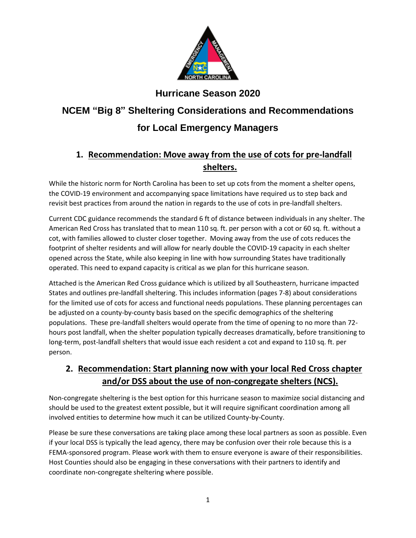

**Hurricane Season 2020** 

# **NCEM "Big 8" Sheltering Considerations and Recommendations for Local Emergency Managers**

# **1. Recommendation: Move away from the use of cots for pre-landfall shelters.**

While the historic norm for North Carolina has been to set up cots from the moment a shelter opens, the COVID-19 environment and accompanying space limitations have required us to step back and revisit best practices from around the nation in regards to the use of cots in pre-landfall shelters.

Current CDC guidance recommends the standard 6 ft of distance between individuals in any shelter. The American Red Cross has translated that to mean 110 sq. ft. per person with a cot or 60 sq. ft. without a cot, with families allowed to cluster closer together. Moving away from the use of cots reduces the footprint of shelter residents and will allow for nearly double the COVID-19 capacity in each shelter opened across the State, while also keeping in line with how surrounding States have traditionally operated. This need to expand capacity is critical as we plan for this hurricane season.

Attached is the American Red Cross guidance which is utilized by all Southeastern, hurricane impacted States and outlines pre-landfall sheltering. This includes information (pages 7-8) about considerations for the limited use of cots for access and functional needs populations. These planning percentages can be adjusted on a county-by-county basis based on the specific demographics of the sheltering populations. These pre-landfall shelters would operate from the time of opening to no more than 72 hours post landfall, when the shelter population typically decreases dramatically, before transitioning to long-term, post-landfall shelters that would issue each resident a cot and expand to 110 sq. ft. per person.

#### **2. Recommendation: Start planning now with your local Red Cross chapter and/or DSS about the use of non-congregate shelters (NCS).**

Non-congregate sheltering is the best option for this hurricane season to maximize social distancing and should be used to the greatest extent possible, but it will require significant coordination among all involved entities to determine how much it can be utilized County-by-County.

Please be sure these conversations are taking place among these local partners as soon as possible. Even if your local DSS is typically the lead agency, there may be confusion over their role because this is a FEMA-sponsored program. Please work with them to ensure everyone is aware of their responsibilities. Host Counties should also be engaging in these conversations with their partners to identify and coordinate non-congregate sheltering where possible.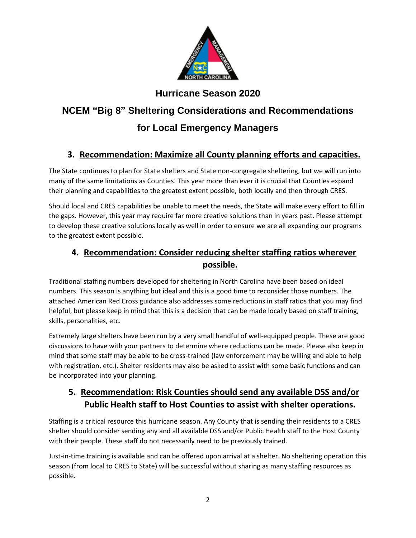

**Hurricane Season 2020** 

# **NCEM "Big 8" Sheltering Considerations and Recommendations for Local Emergency Managers**

# **3. Recommendation: Maximize all County planning efforts and capacities.**

The State continues to plan for State shelters and State non-congregate sheltering, but we will run into many of the same limitations as Counties. This year more than ever it is crucial that Counties expand their planning and capabilities to the greatest extent possible, both locally and then through CRES.

Should local and CRES capabilities be unable to meet the needs, the State will make every effort to fill in the gaps. However, this year may require far more creative solutions than in years past. Please attempt to develop these creative solutions locally as well in order to ensure we are all expanding our programs to the greatest extent possible.

# **4. Recommendation: Consider reducing shelter staffing ratios wherever possible.**

Traditional staffing numbers developed for sheltering in North Carolina have been based on ideal numbers. This season is anything but ideal and this is a good time to reconsider those numbers. The attached American Red Cross guidance also addresses some reductions in staff ratios that you may find helpful, but please keep in mind that this is a decision that can be made locally based on staff training, skills, personalities, etc.

Extremely large shelters have been run by a very small handful of well-equipped people. These are good discussions to have with your partners to determine where reductions can be made. Please also keep in mind that some staff may be able to be cross-trained (law enforcement may be willing and able to help with registration, etc.). Shelter residents may also be asked to assist with some basic functions and can be incorporated into your planning.

#### **5. Recommendation: Risk Counties should send any available DSS and/or Public Health staff to Host Counties to assist with shelter operations.**

Staffing is a critical resource this hurricane season. Any County that is sending their residents to a CRES shelter should consider sending any and all available DSS and/or Public Health staff to the Host County with their people. These staff do not necessarily need to be previously trained.

Just-in-time training is available and can be offered upon arrival at a shelter. No sheltering operation this season (from local to CRES to State) will be successful without sharing as many staffing resources as possible.